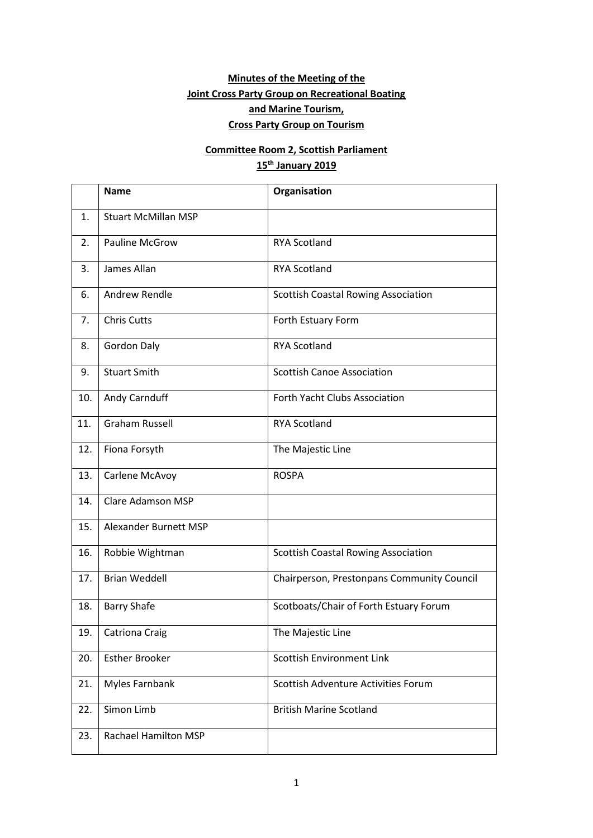# **Minutes of the Meeting of the Joint Cross Party Group on Recreational Boating and Marine Tourism, Cross Party Group on Tourism**

# **Committee Room 2, Scottish Parliament 15th January 2019**

|     | <b>Name</b>                 | Organisation                               |  |  |
|-----|-----------------------------|--------------------------------------------|--|--|
| 1.  | <b>Stuart McMillan MSP</b>  |                                            |  |  |
| 2.  | <b>Pauline McGrow</b>       | <b>RYA Scotland</b>                        |  |  |
| 3.  | James Allan                 | <b>RYA Scotland</b>                        |  |  |
| 6.  | Andrew Rendle               | <b>Scottish Coastal Rowing Association</b> |  |  |
| 7.  | <b>Chris Cutts</b>          | Forth Estuary Form                         |  |  |
| 8.  | <b>Gordon Daly</b>          | <b>RYA Scotland</b>                        |  |  |
| 9.  | <b>Stuart Smith</b>         | <b>Scottish Canoe Association</b>          |  |  |
| 10. | Andy Carnduff               | Forth Yacht Clubs Association              |  |  |
| 11. | <b>Graham Russell</b>       | <b>RYA Scotland</b>                        |  |  |
| 12. | Fiona Forsyth               | The Majestic Line                          |  |  |
| 13. | Carlene McAvoy              | <b>ROSPA</b>                               |  |  |
| 14. | <b>Clare Adamson MSP</b>    |                                            |  |  |
| 15. | Alexander Burnett MSP       |                                            |  |  |
| 16. | Robbie Wightman             | <b>Scottish Coastal Rowing Association</b> |  |  |
| 17. | <b>Brian Weddell</b>        | Chairperson, Prestonpans Community Council |  |  |
| 18. | <b>Barry Shafe</b>          | Scotboats/Chair of Forth Estuary Forum     |  |  |
| 19. | <b>Catriona Craig</b>       | The Majestic Line                          |  |  |
| 20. | <b>Esther Brooker</b>       | <b>Scottish Environment Link</b>           |  |  |
| 21. | Myles Farnbank              | Scottish Adventure Activities Forum        |  |  |
| 22. | Simon Limb                  | <b>British Marine Scotland</b>             |  |  |
| 23. | <b>Rachael Hamilton MSP</b> |                                            |  |  |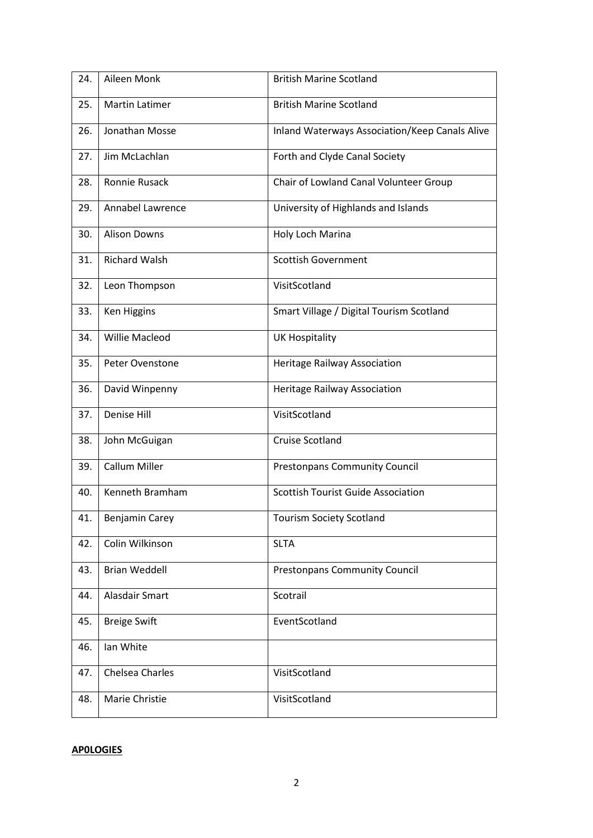| 24. | Aileen Monk           | <b>British Marine Scotland</b>                 |  |  |
|-----|-----------------------|------------------------------------------------|--|--|
| 25. | <b>Martin Latimer</b> | <b>British Marine Scotland</b>                 |  |  |
| 26. | Jonathan Mosse        | Inland Waterways Association/Keep Canals Alive |  |  |
| 27. | Jim McLachlan         | Forth and Clyde Canal Society                  |  |  |
| 28. | Ronnie Rusack         | Chair of Lowland Canal Volunteer Group         |  |  |
| 29. | Annabel Lawrence      | University of Highlands and Islands            |  |  |
| 30. | <b>Alison Downs</b>   | Holy Loch Marina                               |  |  |
| 31. | <b>Richard Walsh</b>  | <b>Scottish Government</b>                     |  |  |
| 32. | Leon Thompson         | VisitScotland                                  |  |  |
| 33. | Ken Higgins           | Smart Village / Digital Tourism Scotland       |  |  |
| 34. | <b>Willie Macleod</b> | <b>UK Hospitality</b>                          |  |  |
| 35. | Peter Ovenstone       | <b>Heritage Railway Association</b>            |  |  |
| 36. | David Winpenny        | Heritage Railway Association                   |  |  |
| 37. | Denise Hill           | VisitScotland                                  |  |  |
| 38. | John McGuigan         | <b>Cruise Scotland</b>                         |  |  |
| 39. | Callum Miller         | <b>Prestonpans Community Council</b>           |  |  |
| 40. | Kenneth Bramham       | <b>Scottish Tourist Guide Association</b>      |  |  |
| 41. | Benjamin Carey        | <b>Tourism Society Scotland</b>                |  |  |
| 42. | Colin Wilkinson       | <b>SLTA</b>                                    |  |  |
| 43. | <b>Brian Weddell</b>  | <b>Prestonpans Community Council</b>           |  |  |
| 44. | Alasdair Smart        | Scotrail                                       |  |  |
| 45. | <b>Breige Swift</b>   | EventScotland                                  |  |  |
| 46. | Ian White             |                                                |  |  |
| 47. | Chelsea Charles       | VisitScotland                                  |  |  |
| 48. | Marie Christie        | VisitScotland                                  |  |  |

## **AP0LOGIES**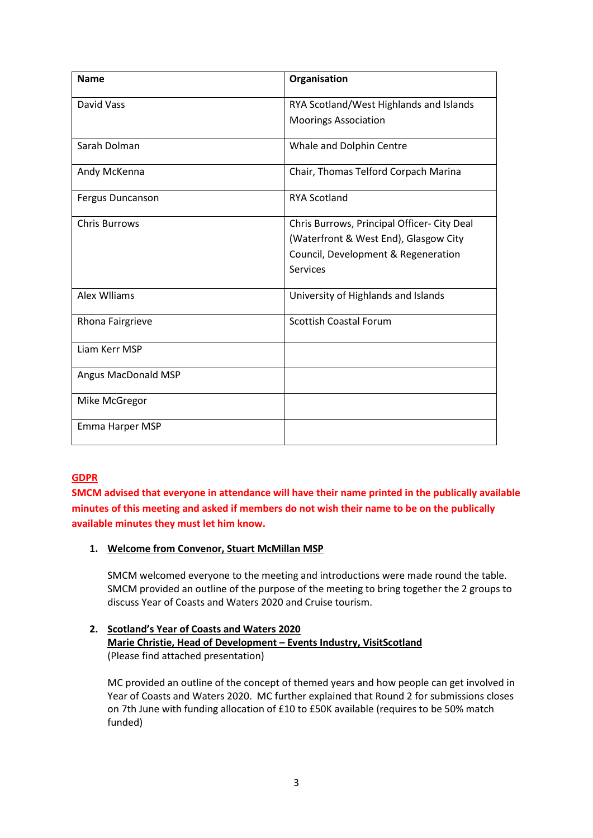| <b>Name</b>                | Organisation                                |  |  |
|----------------------------|---------------------------------------------|--|--|
| David Vass                 | RYA Scotland/West Highlands and Islands     |  |  |
|                            | <b>Moorings Association</b>                 |  |  |
| Sarah Dolman               | Whale and Dolphin Centre                    |  |  |
| Andy McKenna               | Chair, Thomas Telford Corpach Marina        |  |  |
| <b>Fergus Duncanson</b>    | <b>RYA Scotland</b>                         |  |  |
| <b>Chris Burrows</b>       | Chris Burrows, Principal Officer- City Deal |  |  |
|                            | (Waterfront & West End), Glasgow City       |  |  |
|                            | Council, Development & Regeneration         |  |  |
|                            | Services                                    |  |  |
| Alex Wiliams               | University of Highlands and Islands         |  |  |
| Rhona Fairgrieve           | <b>Scottish Coastal Forum</b>               |  |  |
| Liam Kerr MSP              |                                             |  |  |
| <b>Angus MacDonald MSP</b> |                                             |  |  |
| Mike McGregor              |                                             |  |  |
| Emma Harper MSP            |                                             |  |  |

### **GDPR**

**SMCM advised that everyone in attendance will have their name printed in the publically available minutes of this meeting and asked if members do not wish their name to be on the publically available minutes they must let him know.**

#### **1. Welcome from Convenor, Stuart McMillan MSP**

SMCM welcomed everyone to the meeting and introductions were made round the table. SMCM provided an outline of the purpose of the meeting to bring together the 2 groups to discuss Year of Coasts and Waters 2020 and Cruise tourism.

### **2. Scotland's Year of Coasts and Waters 2020 Marie Christie, Head of Development – Events Industry, VisitScotland** (Please find attached presentation)

MC provided an outline of the concept of themed years and how people can get involved in Year of Coasts and Waters 2020. MC further explained that Round 2 for submissions closes on 7th June with funding allocation of £10 to £50K available (requires to be 50% match funded)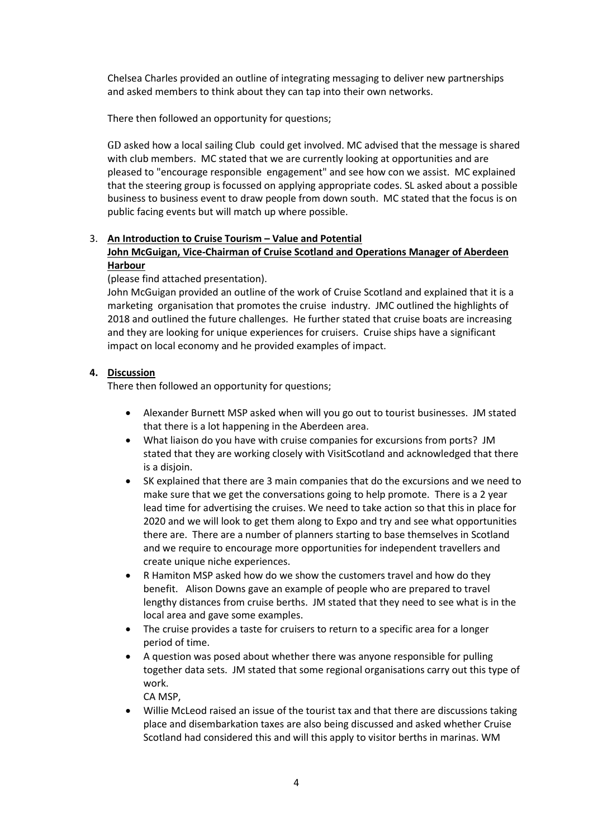Chelsea Charles provided an outline of integrating messaging to deliver new partnerships and asked members to think about they can tap into their own networks.

There then followed an opportunity for questions;

GD asked how a local sailing Club could get involved. MC advised that the message is shared with club members. MC stated that we are currently looking at opportunities and are pleased to "encourage responsible engagement" and see how con we assist. MC explained that the steering group is focussed on applying appropriate codes. SL asked about a possible business to business event to draw people from down south. MC stated that the focus is on public facing events but will match up where possible.

#### 3. **An Introduction to Cruise Tourism – Value and Potential John McGuigan, Vice-Chairman of Cruise Scotland and Operations Manager of Aberdeen Harbour**

#### (please find attached presentation).

John McGuigan provided an outline of the work of Cruise Scotland and explained that it is a marketing organisation that promotes the cruise industry. JMC outlined the highlights of 2018 and outlined the future challenges. He further stated that cruise boats are increasing and they are looking for unique experiences for cruisers. Cruise ships have a significant impact on local economy and he provided examples of impact.

#### **4. Discussion**

There then followed an opportunity for questions;

- Alexander Burnett MSP asked when will you go out to tourist businesses. JM stated that there is a lot happening in the Aberdeen area.
- What liaison do you have with cruise companies for excursions from ports? JM stated that they are working closely with VisitScotland and acknowledged that there is a disjoin.
- SK explained that there are 3 main companies that do the excursions and we need to make sure that we get the conversations going to help promote. There is a 2 year lead time for advertising the cruises. We need to take action so that this in place for 2020 and we will look to get them along to Expo and try and see what opportunities there are. There are a number of planners starting to base themselves in Scotland and we require to encourage more opportunities for independent travellers and create unique niche experiences.
- R Hamiton MSP asked how do we show the customers travel and how do they benefit. Alison Downs gave an example of people who are prepared to travel lengthy distances from cruise berths. JM stated that they need to see what is in the local area and gave some examples.
- The cruise provides a taste for cruisers to return to a specific area for a longer period of time.
- A question was posed about whether there was anyone responsible for pulling together data sets. JM stated that some regional organisations carry out this type of work.

CA MSP,

 Willie McLeod raised an issue of the tourist tax and that there are discussions taking place and disembarkation taxes are also being discussed and asked whether Cruise Scotland had considered this and will this apply to visitor berths in marinas. WM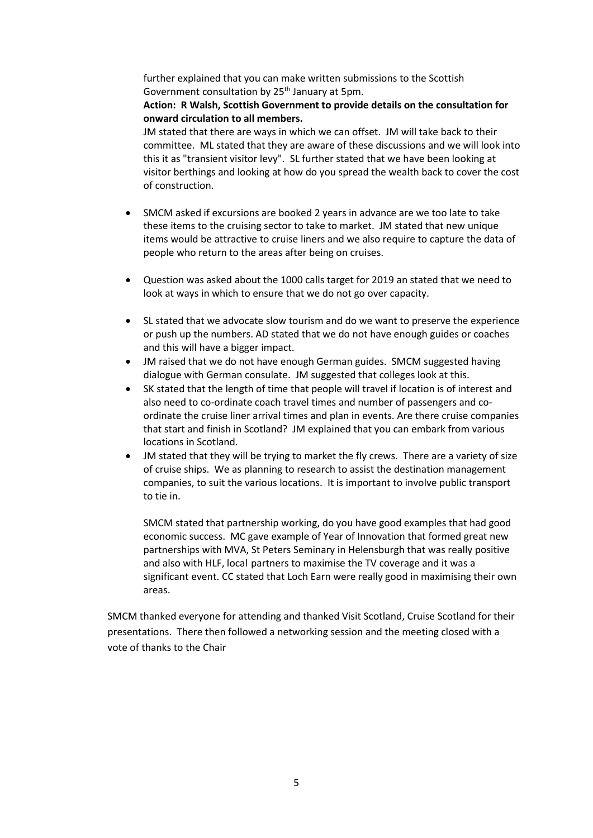further explained that you can make written submissions to the Scottish Government consultation by 25<sup>th</sup> January at 5pm.

### **Action: R Walsh, Scottish Government to provide details on the consultation for onward circulation to all members.**

JM stated that there are ways in which we can offset. JM will take back to their committee. ML stated that they are aware of these discussions and we will look into this it as "transient visitor levy". SL further stated that we have been looking at visitor berthings and looking at how do you spread the wealth back to cover the cost of construction.

- SMCM asked if excursions are booked 2 years in advance are we too late to take these items to the cruising sector to take to market. JM stated that new unique items would be attractive to cruise liners and we also require to capture the data of people who return to the areas after being on cruises.
- Question was asked about the 1000 calls target for 2019 an stated that we need to look at ways in which to ensure that we do not go over capacity.
- SL stated that we advocate slow tourism and do we want to preserve the experience or push up the numbers. AD stated that we do not have enough guides or coaches and this will have a bigger impact.
- JM raised that we do not have enough German guides. SMCM suggested having dialogue with German consulate. JM suggested that colleges look at this.
- SK stated that the length of time that people will travel if location is of interest and also need to co-ordinate coach travel times and number of passengers and coordinate the cruise liner arrival times and plan in events. Are there cruise companies that start and finish in Scotland? JM explained that you can embark from various locations in Scotland.
- JM stated that they will be trying to market the fly crews. There are a variety of size of cruise ships. We as planning to research to assist the destination management companies, to suit the various locations. It is important to involve public transport to tie in.

SMCM stated that partnership working, do you have good examples that had good economic success. MC gave example of Year of Innovation that formed great new partnerships with MVA, St Peters Seminary in Helensburgh that was really positive and also with HLF, local partners to maximise the TV coverage and it was a significant event. CC stated that Loch Earn were really good in maximising their own areas.

SMCM thanked everyone for attending and thanked Visit Scotland, Cruise Scotland for their presentations. There then followed a networking session and the meeting closed with a vote of thanks to the Chair